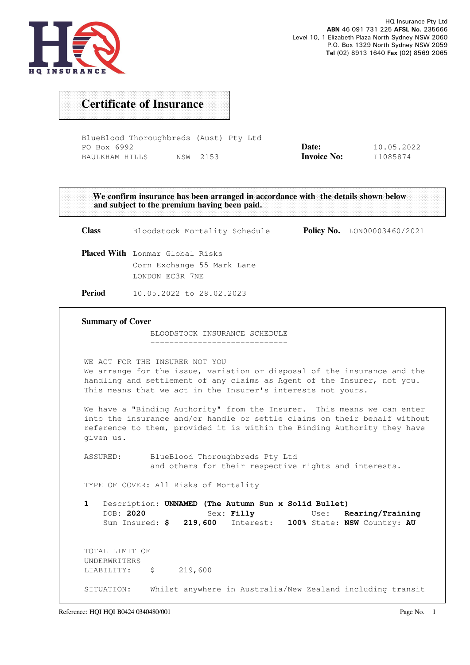

## Certificate of Insurance

BlueBlood Thoroughbreds (Aust) Pty Ltd PO Box 6992 BAULKHAM HILLS NSW 2153 Date: Invoice No: 10.05.2022 I1085874

We confirm insurance has been arranged in accordance with the details shown below and subject to the premium having been paid. Class Bloodstock Mortality Schedule Policy No. LON00003460/2021 Placed With Lonmar Global Risks Corn Exchange 55 Mark Lane LONDON EC3R 7NE Period 10.05.2022 to 28.02.2023 Summary of Cover BLOODSTOCK INSURANCE SCHEDULE ----------------------------- WE ACT FOR THE INSURER NOT YOU We arrange for the issue, variation or disposal of the insurance and the handling and settlement of any claims as Agent of the Insurer, not you. This means that we act in the Insurer's interests not yours. We have a "Binding Authority" from the Insurer. This means we can enter into the insurance and/or handle or settle claims on their behalf without reference to them, provided it is within the Binding Authority they have given us. ASSURED: BlueBlood Thoroughbreds Pty Ltd and others for their respective rights and interests. TYPE OF COVER: All Risks of Mortality 1 Description: UNNAMED (The Autumn Sun x Solid Bullet) DOB: 2020 Sex: Filly Use: Rearing/Training Sum Insured: \$ 219,600 Interest: 100% State: NSW Country: AU TOTAL LIMIT OF UNDERWRITERS LIABILITY: \$ 219,600 SITUATION: Whilst anywhere in Australia/New Zealand including transit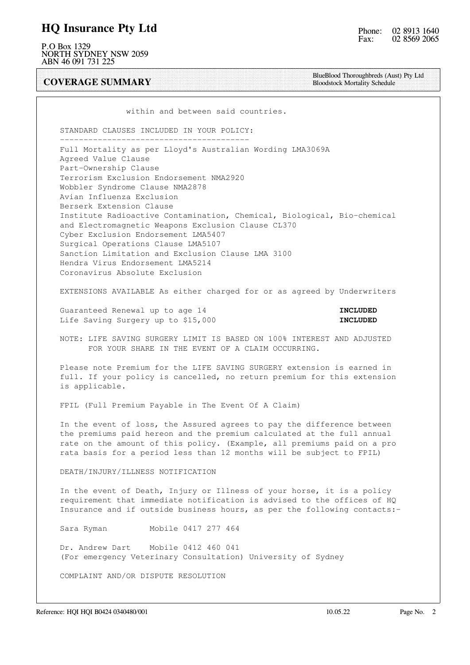### HQ Insurance Pty Ltd

P.O Box 1329 NORTH SYDNEY NSW 2059 ABN 46 091 731 225

COVERAGE SUMMARY

BlueBlood Thoroughbreds (Aust) Pty Ltd Bloodstock Mortality Schedule

within and between said countries.

 STANDARD CLAUSES INCLUDED IN YOUR POLICY: ----------------------------------------

 Full Mortality as per Lloyd's Australian Wording LMA3069A Agreed Value Clause Part-Ownership Clause Terrorism Exclusion Endorsement NMA2920 Wobbler Syndrome Clause NMA2878 Avian Influenza Exclusion Berserk Extension Clause Institute Radioactive Contamination, Chemical, Biological, Bio-chemical and Electromagnetic Weapons Exclusion Clause CL370 Cyber Exclusion Endorsement LMA5407 Surgical Operations Clause LMA5107 Sanction Limitation and Exclusion Clause LMA 3100 Hendra Virus Endorsement LMA5214 Coronavirus Absolute Exclusion

EXTENSIONS AVAILABLE As either charged for or as agreed by Underwriters

Guaranteed Renewal up to age 14 **INCLUDED** Life Saving Surgery up to \$15,000 **INCLUDED** 

 NOTE: LIFE SAVING SURGERY LIMIT IS BASED ON 100% INTEREST AND ADJUSTED FOR YOUR SHARE IN THE EVENT OF A CLAIM OCCURRING.

 Please note Premium for the LIFE SAVING SURGERY extension is earned in full. If your policy is cancelled, no return premium for this extension is applicable.

FPIL (Full Premium Payable in The Event Of A Claim)

 In the event of loss, the Assured agrees to pay the difference between the premiums paid hereon and the premium calculated at the full annual rate on the amount of this policy. (Example, all premiums paid on a pro rata basis for a period less than 12 months will be subject to FPIL)

DEATH/INJURY/ILLNESS NOTIFICATION

 In the event of Death, Injury or Illness of your horse, it is a policy requirement that immediate notification is advised to the offices of HQ Insurance and if outside business hours, as per the following contacts:-

Sara Ryman Mobile 0417 277 464

 Dr. Andrew Dart Mobile 0412 460 041 (For emergency Veterinary Consultation) University of Sydney

COMPLAINT AND/OR DISPUTE RESOLUTION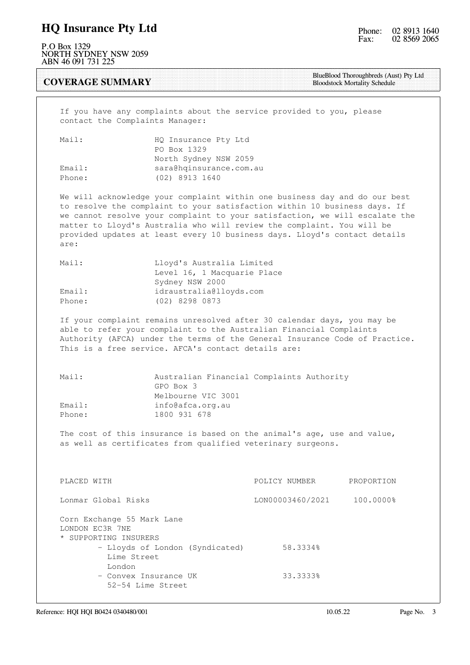### HQ Insurance Pty Ltd

P.O Box 1329 NORTH SYDNEY NSW 2059 ABN 46 091 731 225

COVERAGE SUMMARY

BlueBlood Thoroughbreds (Aust) Pty Ltd Bloodstock Mortality Schedule

 If you have any complaints about the service provided to you, please contact the Complaints Manager:

| Mail:  | HQ Insurance Pty Ltd    |
|--------|-------------------------|
|        | PO Box 1329             |
|        | North Sydney NSW 2059   |
| Email: | sara@hqinsurance.com.au |
| Phone: | (02) 8913 1640          |

 We will acknowledge your complaint within one business day and do our best to resolve the complaint to your satisfaction within 10 business days. If we cannot resolve your complaint to your satisfaction, we will escalate the matter to Lloyd's Australia who will review the complaint. You will be provided updates at least every 10 business days. Lloyd's contact details are:

| Mail:  | Lloyd's Australia Limited   |
|--------|-----------------------------|
|        | Level 16, 1 Macquarie Place |
|        | Sydney NSW 2000             |
| Email: | idraustralia@lloyds.com     |
| Phone: | (02) 8298 0873              |

 If your complaint remains unresolved after 30 calendar days, you may be able to refer your complaint to the Australian Financial Complaints Authority (AFCA) under the terms of the General Insurance Code of Practice. This is a free service. AFCA's contact details are:

| Mail:  | Australian Financial Complaints Authority |
|--------|-------------------------------------------|
|        | GPO Box 3                                 |
|        | Melbourne VIC 3001                        |
| Email: | info@afca.org.au                          |
| Phone: | 1800 931 678                              |

 The cost of this insurance is based on the animal's age, use and value, as well as certificates from qualified veterinary surgeons.

| PLACED WITH                                                            | POLICY NUMBER    | PROPORTION |
|------------------------------------------------------------------------|------------------|------------|
| Lonmar Global Risks                                                    | LON00003460/2021 | 100.0000%  |
| Corn Exchange 55 Mark Lane<br>LONDON EC3R 7NE<br>* SUPPORTING INSURERS |                  |            |
| - Lloyds of London (Syndicated)<br>Lime Street                         | 58.3334%         |            |
| London<br>- Convex Insurance UK<br>52-54 Lime Street                   | 33.3333%         |            |